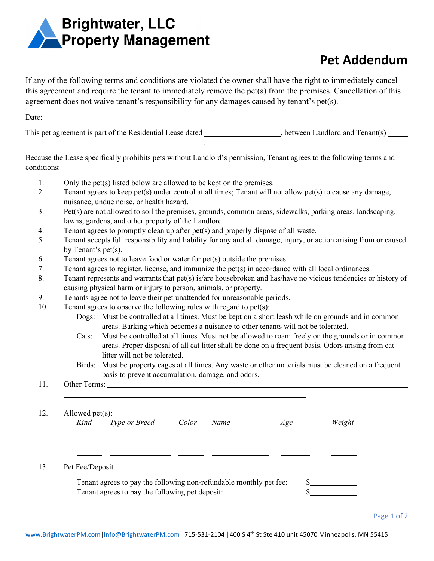

.

## **Pet Addendum**

If any of the following terms and conditions are violated the owner shall have the right to immediately cancel this agreement and require the tenant to immediately remove the pet(s) from the premises. Cancellation of this agreement does not waive tenant's responsibility for any damages caused by tenant's pet(s).

Date:

This pet agreement is part of the Residential Lease dated, between Landlord and Tenant(s)

Because the Lease specifically prohibits pets without Landlord's permission, Tenant agrees to the following terms and conditions:

- 1. Only the pet(s) listed below are allowed to be kept on the premises.
- 2. Tenant agrees to keep pet(s) under control at all times; Tenant will not allow pet(s) to cause any damage, nuisance, undue noise, or health hazard.
- 3. Pet(s) are not allowed to soil the premises, grounds, common areas, sidewalks, parking areas, landscaping, lawns, gardens, and other property of the Landlord.
- 4. Tenant agrees to promptly clean up after pet(s) and properly dispose of all waste.
- 5. Tenant accepts full responsibility and liability for any and all damage, injury, or action arising from or caused by Tenant's pet(s).
- 6. Tenant agrees not to leave food or water for pet(s) outside the premises.
- 7. Tenant agrees to register, license, and immunize the pet(s) in accordance with all local ordinances.
- 8. Tenant represents and warrants that pet(s) is/are housebroken and has/have no vicious tendencies or history of causing physical harm or injury to person, animals, or property.
- 9. Tenants agree not to leave their pet unattended for unreasonable periods.
- 10. Tenant agrees to observe the following rules with regard to pet(s):
	- Dogs: Must be controlled at all times. Must be kept on a short leash while on grounds and in common areas. Barking which becomes a nuisance to other tenants will not be tolerated.
	- Cats: Must be controlled at all times. Must not be allowed to roam freely on the grounds or in common areas. Proper disposal of all cat litter shall be done on a frequent basis. Odors arising from cat litter will not be tolerated.
	- Birds: Must be property cages at all times. Any waste or other materials must be cleaned on a frequent basis to prevent accumulation, damage, and odors.

## 11. Other Terms:

 $\overline{a}$ 

| 12. | Allowed $pet(s)$ :<br>Kind                      | Type or Breed                                                      | Color | Name | Age | Weight |  |  |
|-----|-------------------------------------------------|--------------------------------------------------------------------|-------|------|-----|--------|--|--|
|     |                                                 |                                                                    |       |      |     |        |  |  |
|     |                                                 |                                                                    |       |      |     |        |  |  |
| 13. | Pet Fee/Deposit.                                |                                                                    |       |      |     |        |  |  |
|     |                                                 | Tenant agrees to pay the following non-refundable monthly pet fee: |       |      |     |        |  |  |
|     | Tenant agrees to pay the following pet deposit: | ╓                                                                  |       |      |     |        |  |  |